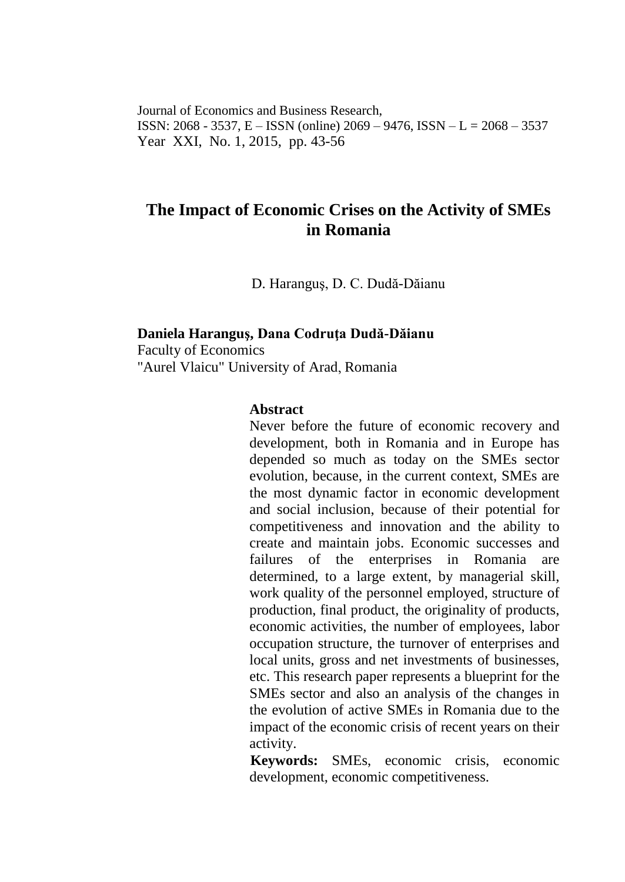Journal of Economics and Business Research, ISSN: 2068 - 3537, E – ISSN (online) 2069 – 9476, ISSN – L = 2068 – 3537 Year XXI, No. 1, 2015, pp. 43-56

# **The Impact of Economic Crises on the Activity of SMEs in Romania**

D. Haranguş, D. C. Dudă-Dăianu

#### **Daniela Haranguş, Dana Codruţa Dudă-Dăianu**

Faculty of Economics "Aurel Vlaicu" University of Arad, Romania

#### **Abstract**

Never before the future of economic recovery and development, both in Romania and in Europe has depended so much as today on the SMEs sector evolution, because, in the current context, SMEs are the most dynamic factor in economic development and social inclusion, because of their potential for competitiveness and innovation and the ability to create and maintain jobs. Economic successes and failures of the enterprises in Romania are determined, to a large extent, by managerial skill, work quality of the personnel employed, structure of production, final product, the originality of products, economic activities, the number of employees, labor occupation structure, the turnover of enterprises and local units, gross and net investments of businesses, etc. This research paper represents a blueprint for the SMEs sector and also an analysis of the changes in the evolution of active SMEs in Romania due to the impact of the economic crisis of recent years on their activity.

**Keywords:** SMEs, economic crisis, economic development, economic competitiveness.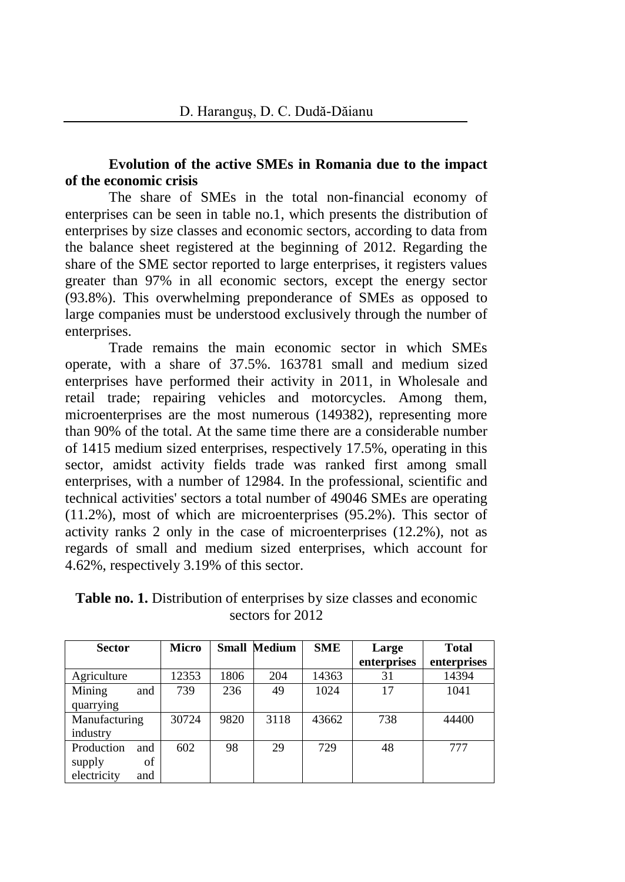## **Evolution of the active SMEs in Romania due to the impact of the economic crisis**

The share of SMEs in the total non-financial economy of enterprises can be seen in table no.1, which presents the distribution of enterprises by size classes and economic sectors, according to data from the balance sheet registered at the beginning of 2012. Regarding the share of the SME sector reported to large enterprises, it registers values greater than 97% in all economic sectors, except the energy sector (93.8%). This overwhelming preponderance of SMEs as opposed to large companies must be understood exclusively through the number of enterprises.

Trade remains the main economic sector in which SMEs operate, with a share of 37.5%. 163781 small and medium sized enterprises have performed their activity in 2011, in Wholesale and retail trade; repairing vehicles and motorcycles. Among them, microenterprises are the most numerous (149382), representing more than 90% of the total. At the same time there are a considerable number of 1415 medium sized enterprises, respectively 17.5%, operating in this sector, amidst activity fields trade was ranked first among small enterprises, with a number of 12984. In the professional, scientific and technical activities' sectors a total number of 49046 SMEs are operating (11.2%), most of which are microenterprises (95.2%). This sector of activity ranks 2 only in the case of microenterprises (12.2%), not as regards of small and medium sized enterprises, which account for 4.62%, respectively 3.19% of this sector.

| <b>Sector</b>      | <b>Micro</b> | Small | Medium | <b>SME</b> | Large       | <b>Total</b> |
|--------------------|--------------|-------|--------|------------|-------------|--------------|
|                    |              |       |        |            | enterprises | enterprises  |
| Agriculture        | 12353        | 1806  | 204    | 14363      | 31          | 14394        |
| Mining<br>and      | 739          | 236   | 49     | 1024       | 17          | 1041         |
| quarrying          |              |       |        |            |             |              |
| Manufacturing      | 30724        | 9820  | 3118   | 43662      | 738         | 44400        |
| industry           |              |       |        |            |             |              |
| Production<br>and  | 602          | 98    | 29     | 729        | 48          | 777          |
| supply<br>of       |              |       |        |            |             |              |
| electricity<br>and |              |       |        |            |             |              |

**Table no. 1.** Distribution of enterprises by size classes and economic sectors for 2012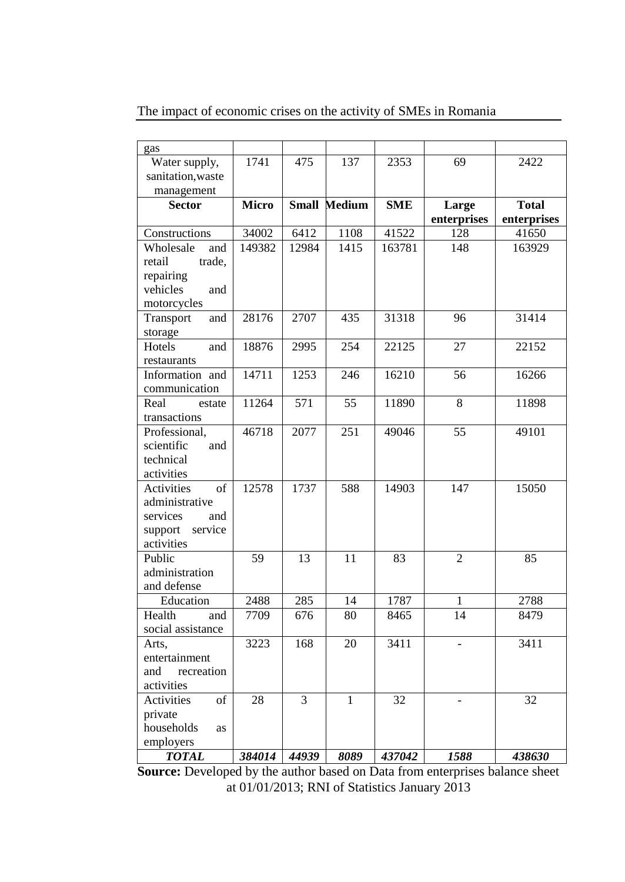| gas                |              |                  |                 |            |                 |                   |
|--------------------|--------------|------------------|-----------------|------------|-----------------|-------------------|
| Water supply,      | 1741         | $\overline{475}$ | 137             | 2353       | $\overline{69}$ | 2422              |
| sanitation, waste  |              |                  |                 |            |                 |                   |
| management         |              |                  |                 |            |                 |                   |
| <b>Sector</b>      | <b>Micro</b> | <b>Small</b>     | Medium          | <b>SME</b> | Large           | <b>Total</b>      |
|                    |              |                  |                 |            | enterprises     | enterprises       |
| Constructions      | 34002        | 6412             | 1108            | 41522      | 128             | 41650             |
| Wholesale<br>and   | 149382       | 12984            | 1415            | 163781     | 148             | 163929            |
| retail<br>trade.   |              |                  |                 |            |                 |                   |
| repairing          |              |                  |                 |            |                 |                   |
| vehicles<br>and    |              |                  |                 |            |                 |                   |
| motorcycles        |              |                  |                 |            |                 |                   |
| and<br>Transport   | 28176        | 2707             | 435             | 31318      | $\overline{96}$ | 31414             |
| storage            |              |                  |                 |            |                 |                   |
| Hotels<br>and      | 18876        | 2995             | 254             | 22125      | 27              | 22152             |
| restaurants        |              |                  |                 |            |                 |                   |
| Information and    | 14711        | 1253             | 246             | 16210      | 56              | 16266             |
| communication      |              |                  |                 |            |                 |                   |
| Real<br>estate     | 11264        | 571              | $\overline{55}$ | 11890      | $\overline{8}$  | 11898             |
| transactions       |              |                  |                 |            |                 |                   |
| Professional,      | 46718        | 2077             | 251             | 49046      | 55              | 49101             |
| scientific<br>and  |              |                  |                 |            |                 |                   |
| technical          |              |                  |                 |            |                 |                   |
| activities         |              |                  |                 |            |                 |                   |
| of<br>Activities   | 12578        | 1737             | 588             | 14903      | 147             | 15050             |
| administrative     |              |                  |                 |            |                 |                   |
| services<br>and    |              |                  |                 |            |                 |                   |
| service<br>support |              |                  |                 |            |                 |                   |
| activities         |              |                  |                 |            |                 |                   |
| Public             | 59           | 13               | 11              | 83         | $\overline{2}$  | 85                |
| administration     |              |                  |                 |            |                 |                   |
| and defense        |              |                  |                 |            |                 |                   |
| Education          | 2488         | 285              | 14              | 1787       | 1               | 2788              |
| Health<br>and      | 7709         | 676              | 80              | 8465       | 14              | 8479              |
| social assistance  |              |                  |                 |            |                 |                   |
| Arts,              | 3223         | 168              | 20              | 3411       |                 | $\overline{3}411$ |
| entertainment      |              |                  |                 |            |                 |                   |
| recreation<br>and  |              |                  |                 |            |                 |                   |
| activities         |              |                  |                 |            |                 |                   |
| Activities<br>of   | 28           | 3                | 1               | 32         |                 | 32                |
| private            |              |                  |                 |            |                 |                   |
| households<br>as   |              |                  |                 |            |                 |                   |
| employers          |              |                  |                 |            |                 |                   |
| <b>TOTAL</b>       | 384014       | 44939            | 8089            | 437042     | 1588            | 438630            |

The impact of economic crises on the activity of SMEs in Romania

**Source:** Developed by the author based on Data from enterprises balance sheet at 01/01/2013; RNI of Statistics January 2013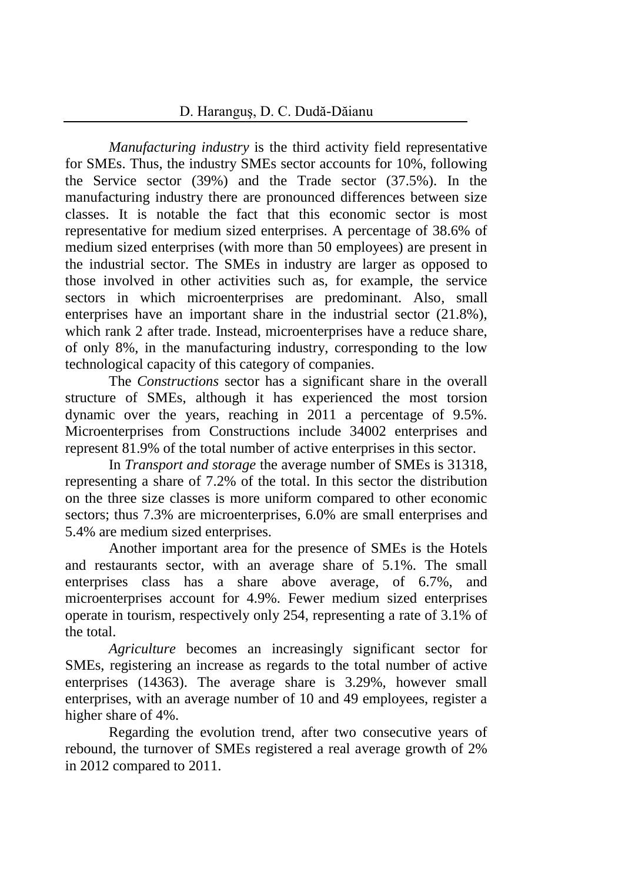*Manufacturing industry* is the third activity field representative for SMEs. Thus, the industry SMEs sector accounts for 10%, following the Service sector (39%) and the Trade sector (37.5%). In the manufacturing industry there are pronounced differences between size classes. It is notable the fact that this economic sector is most representative for medium sized enterprises. A percentage of 38.6% of medium sized enterprises (with more than 50 employees) are present in the industrial sector. The SMEs in industry are larger as opposed to those involved in other activities such as, for example, the service sectors in which microenterprises are predominant. Also, small enterprises have an important share in the industrial sector (21.8%), which rank 2 after trade. Instead, microenterprises have a reduce share, of only 8%, in the manufacturing industry, corresponding to the low technological capacity of this category of companies.

The *Constructions* sector has a significant share in the overall structure of SMEs, although it has experienced the most torsion dynamic over the years, reaching in 2011 a percentage of 9.5%. Microenterprises from Constructions include 34002 enterprises and represent 81.9% of the total number of active enterprises in this sector.

In *Transport and storage* the average number of SMEs is 31318, representing a share of 7.2% of the total. In this sector the distribution on the three size classes is more uniform compared to other economic sectors; thus 7.3% are microenterprises, 6.0% are small enterprises and 5.4% are medium sized enterprises.

Another important area for the presence of SMEs is the Hotels and restaurants sector, with an average share of 5.1%. The small enterprises class has a share above average, of 6.7%, and microenterprises account for 4.9%. Fewer medium sized enterprises operate in tourism, respectively only 254, representing a rate of 3.1% of the total.

*Agriculture* becomes an increasingly significant sector for SMEs, registering an increase as regards to the total number of active enterprises (14363). The average share is 3.29%, however small enterprises, with an average number of 10 and 49 employees, register a higher share of 4%.

Regarding the evolution trend, after two consecutive years of rebound, the turnover of SMEs registered a real average growth of 2% in 2012 compared to 2011.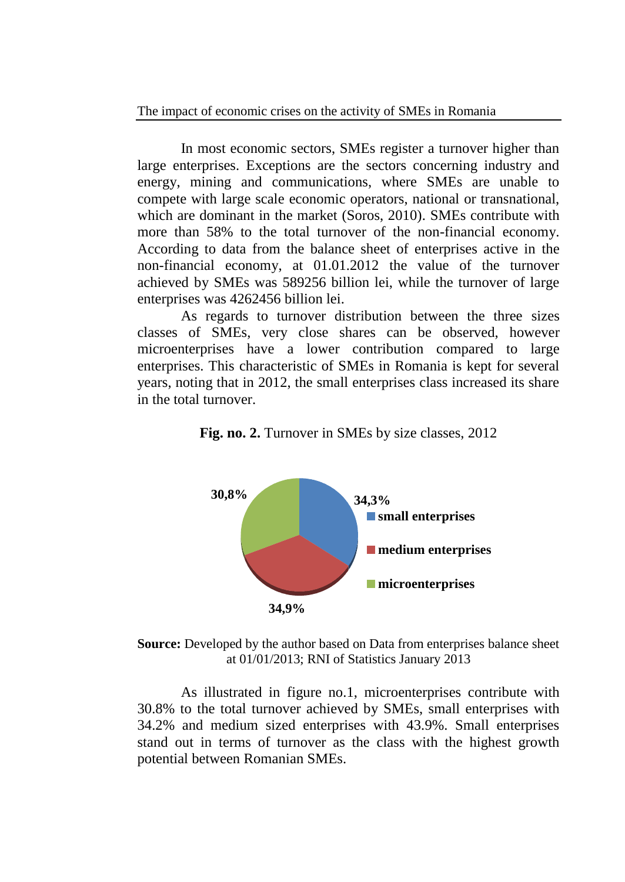In most economic sectors, SMEs register a turnover higher than large enterprises. Exceptions are the sectors concerning industry and energy, mining and communications, where SMEs are unable to compete with large scale economic operators, national or transnational, which are dominant in the market (Soros, 2010). SMEs contribute with more than 58% to the total turnover of the non-financial economy. According to data from the balance sheet of enterprises active in the non-financial economy, at 01.01.2012 the value of the turnover achieved by SMEs was 589256 billion lei, while the turnover of large enterprises was 4262456 billion lei.

As regards to turnover distribution between the three sizes classes of SMEs, very close shares can be observed, however microenterprises have a lower contribution compared to large enterprises. This characteristic of SMEs in Romania is kept for several years, noting that in 2012, the small enterprises class increased its share in the total turnover.



**Fig. no. 2.** Turnover in SMEs by size classes, 2012

**Source:** Developed by the author based on Data from enterprises balance sheet at 01/01/2013; RNI of Statistics January 2013

As illustrated in figure no.1, microenterprises contribute with 30.8% to the total turnover achieved by SMEs, small enterprises with 34.2% and medium sized enterprises with 43.9%. Small enterprises stand out in terms of turnover as the class with the highest growth potential between Romanian SMEs.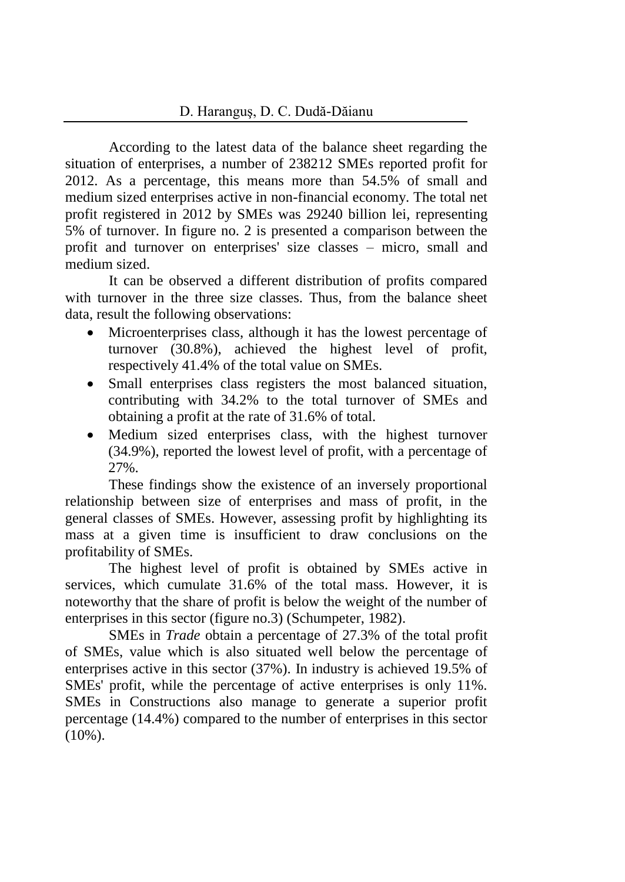According to the latest data of the balance sheet regarding the situation of enterprises, a number of 238212 SMEs reported profit for 2012. As a percentage, this means more than 54.5% of small and medium sized enterprises active in non-financial economy. The total net profit registered in 2012 by SMEs was 29240 billion lei, representing 5% of turnover. In figure no. 2 is presented a comparison between the profit and turnover on enterprises' size classes – micro, small and medium sized.

It can be observed a different distribution of profits compared with turnover in the three size classes. Thus, from the balance sheet data, result the following observations:

- Microenterprises class, although it has the lowest percentage of turnover (30.8%), achieved the highest level of profit, respectively 41.4% of the total value on SMEs.
- Small enterprises class registers the most balanced situation, contributing with 34.2% to the total turnover of SMEs and obtaining a profit at the rate of 31.6% of total.
- Medium sized enterprises class, with the highest turnover (34.9%), reported the lowest level of profit, with a percentage of 27%.

These findings show the existence of an inversely proportional relationship between size of enterprises and mass of profit, in the general classes of SMEs. However, assessing profit by highlighting its mass at a given time is insufficient to draw conclusions on the profitability of SMEs.

The highest level of profit is obtained by SMEs active in services, which cumulate 31.6% of the total mass. However, it is noteworthy that the share of profit is below the weight of the number of enterprises in this sector (figure no.3) (Schumpeter, 1982).

SMEs in *Trade* obtain a percentage of 27.3% of the total profit of SMEs, value which is also situated well below the percentage of enterprises active in this sector (37%). In industry is achieved 19.5% of SMEs' profit, while the percentage of active enterprises is only 11%. SMEs in Constructions also manage to generate a superior profit percentage (14.4%) compared to the number of enterprises in this sector  $(10\%)$ .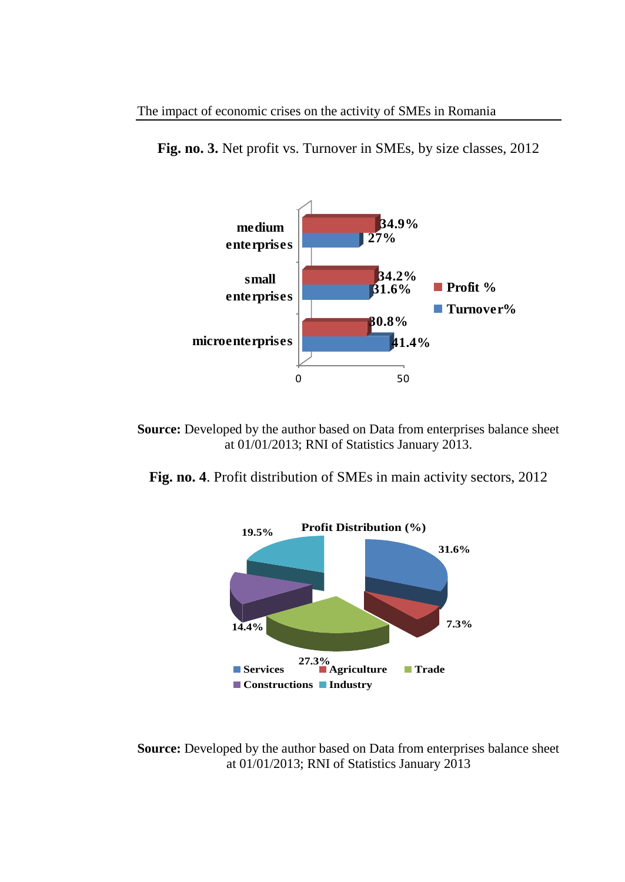**Fig. no. 3.** Net profit vs. Turnover in SMEs, by size classes, 2012



**Source:** Developed by the author based on Data from enterprises balance sheet at 01/01/2013; RNI of Statistics January 2013.

**Fig. no. 4**. Profit distribution of SMEs in main activity sectors, 2012



**Source:** Developed by the author based on Data from enterprises balance sheet at 01/01/2013; RNI of Statistics January 2013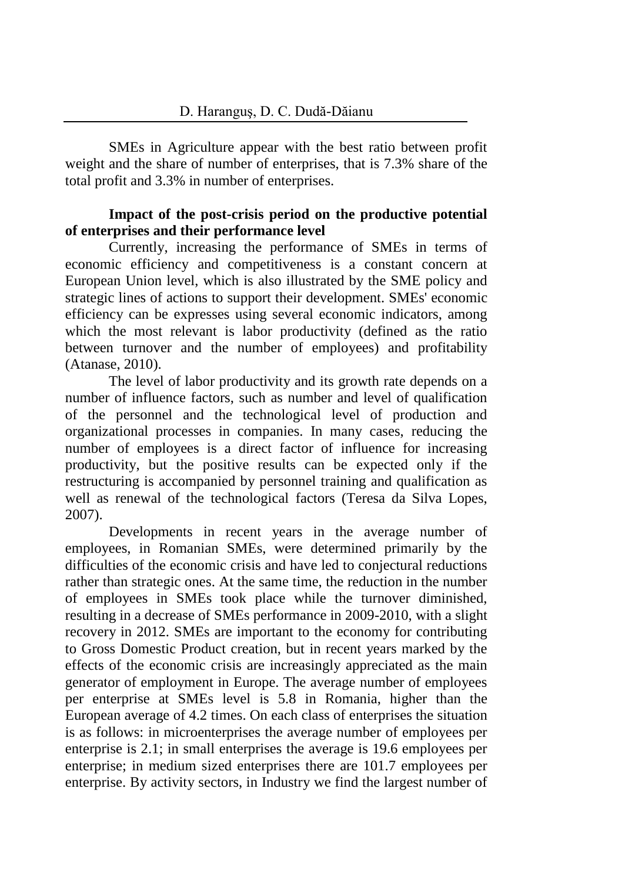SMEs in Agriculture appear with the best ratio between profit weight and the share of number of enterprises, that is 7.3% share of the total profit and 3.3% in number of enterprises.

### **Impact of the post-crisis period on the productive potential of enterprises and their performance level**

Currently, increasing the performance of SMEs in terms of economic efficiency and competitiveness is a constant concern at European Union level, which is also illustrated by the SME policy and strategic lines of actions to support their development. SMEs' economic efficiency can be expresses using several economic indicators, among which the most relevant is labor productivity (defined as the ratio between turnover and the number of employees) and profitability (Atanase, 2010).

The level of labor productivity and its growth rate depends on a number of influence factors, such as number and level of qualification of the personnel and the technological level of production and organizational processes in companies. In many cases, reducing the number of employees is a direct factor of influence for increasing productivity, but the positive results can be expected only if the restructuring is accompanied by personnel training and qualification as well as renewal of the technological factors (Teresa da Silva Lopes, 2007).

Developments in recent years in the average number of employees, in Romanian SMEs, were determined primarily by the difficulties of the economic crisis and have led to conjectural reductions rather than strategic ones. At the same time, the reduction in the number of employees in SMEs took place while the turnover diminished, resulting in a decrease of SMEs performance in 2009-2010, with a slight recovery in 2012. SMEs are important to the economy for contributing to Gross Domestic Product creation, but in recent years marked by the effects of the economic crisis are increasingly appreciated as the main generator of employment in Europe. The average number of employees per enterprise at SMEs level is 5.8 in Romania, higher than the European average of 4.2 times. On each class of enterprises the situation is as follows: in microenterprises the average number of employees per enterprise is 2.1; in small enterprises the average is 19.6 employees per enterprise; in medium sized enterprises there are 101.7 employees per enterprise. By activity sectors, in Industry we find the largest number of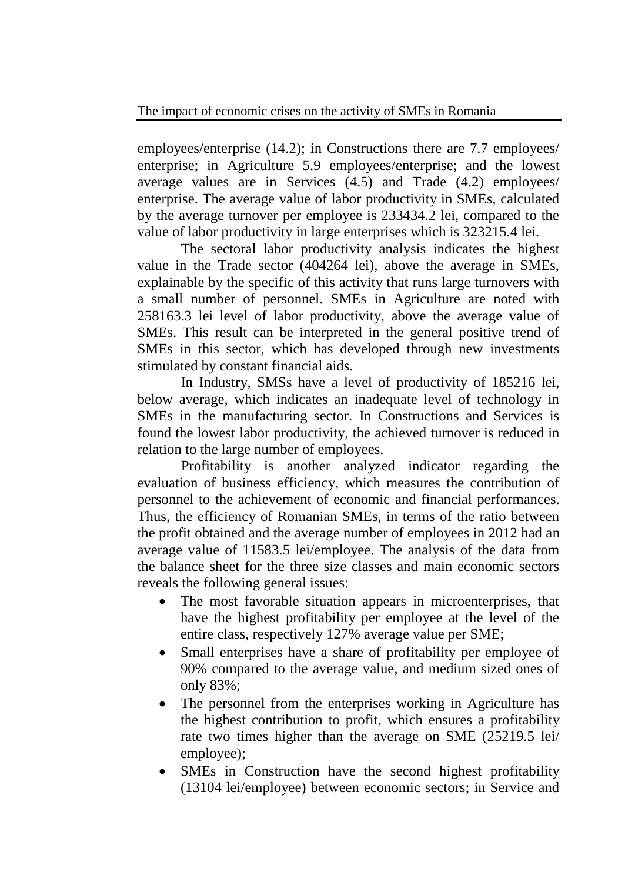employees/enterprise (14.2); in Constructions there are 7.7 employees/ enterprise; in Agriculture 5.9 employees/enterprise; and the lowest average values are in Services (4.5) and Trade (4.2) employees/ enterprise. The average value of labor productivity in SMEs, calculated by the average turnover per employee is 233434.2 lei, compared to the value of labor productivity in large enterprises which is 323215.4 lei.

The sectoral labor productivity analysis indicates the highest value in the Trade sector (404264 lei), above the average in SMEs, explainable by the specific of this activity that runs large turnovers with a small number of personnel. SMEs in Agriculture are noted with 258163.3 lei level of labor productivity, above the average value of SMEs. This result can be interpreted in the general positive trend of SMEs in this sector, which has developed through new investments stimulated by constant financial aids.

In Industry, SMSs have a level of productivity of 185216 lei, below average, which indicates an inadequate level of technology in SMEs in the manufacturing sector. In Constructions and Services is found the lowest labor productivity, the achieved turnover is reduced in relation to the large number of employees.

Profitability is another analyzed indicator regarding the evaluation of business efficiency, which measures the contribution of personnel to the achievement of economic and financial performances. Thus, the efficiency of Romanian SMEs, in terms of the ratio between the profit obtained and the average number of employees in 2012 had an average value of 11583.5 lei/employee. The analysis of the data from the balance sheet for the three size classes and main economic sectors reveals the following general issues:

- The most favorable situation appears in microenterprises, that have the highest profitability per employee at the level of the entire class, respectively 127% average value per SME;
- Small enterprises have a share of profitability per employee of 90% compared to the average value, and medium sized ones of only 83%;
- The personnel from the enterprises working in Agriculture has the highest contribution to profit, which ensures a profitability rate two times higher than the average on SME (25219.5 lei/ employee);
- SMEs in Construction have the second highest profitability (13104 lei/employee) between economic sectors; in Service and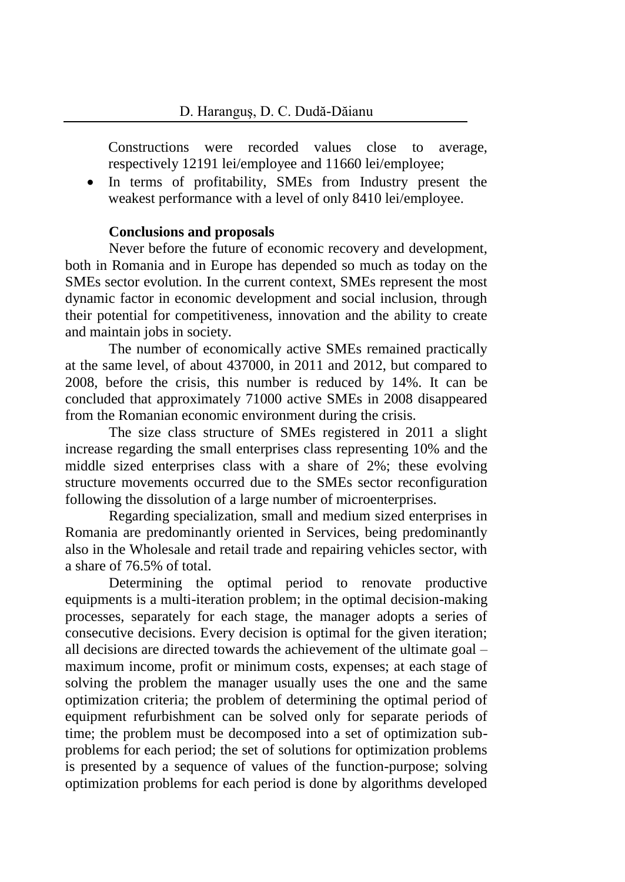Constructions were recorded values close to average, respectively 12191 lei/employee and 11660 lei/employee;

 In terms of profitability, SMEs from Industry present the weakest performance with a level of only 8410 lei/employee.

### **Conclusions and proposals**

Never before the future of economic recovery and development, both in Romania and in Europe has depended so much as today on the SMEs sector evolution. In the current context, SMEs represent the most dynamic factor in economic development and social inclusion, through their potential for competitiveness, innovation and the ability to create and maintain jobs in society.

The number of economically active SMEs remained practically at the same level, of about 437000, in 2011 and 2012, but compared to 2008, before the crisis, this number is reduced by 14%. It can be concluded that approximately 71000 active SMEs in 2008 disappeared from the Romanian economic environment during the crisis.

The size class structure of SMEs registered in 2011 a slight increase regarding the small enterprises class representing 10% and the middle sized enterprises class with a share of 2%; these evolving structure movements occurred due to the SMEs sector reconfiguration following the dissolution of a large number of microenterprises.

Regarding specialization, small and medium sized enterprises in Romania are predominantly oriented in Services, being predominantly also in the Wholesale and retail trade and repairing vehicles sector, with a share of 76.5% of total.

Determining the optimal period to renovate productive equipments is a multi-iteration problem; in the optimal decision-making processes, separately for each stage, the manager adopts a series of consecutive decisions. Every decision is optimal for the given iteration; all decisions are directed towards the achievement of the ultimate goal – maximum income, profit or minimum costs, expenses; at each stage of solving the problem the manager usually uses the one and the same optimization criteria; the problem of determining the optimal period of equipment refurbishment can be solved only for separate periods of time; the problem must be decomposed into a set of optimization subproblems for each period; the set of solutions for optimization problems is presented by a sequence of values of the function-purpose; solving optimization problems for each period is done by algorithms developed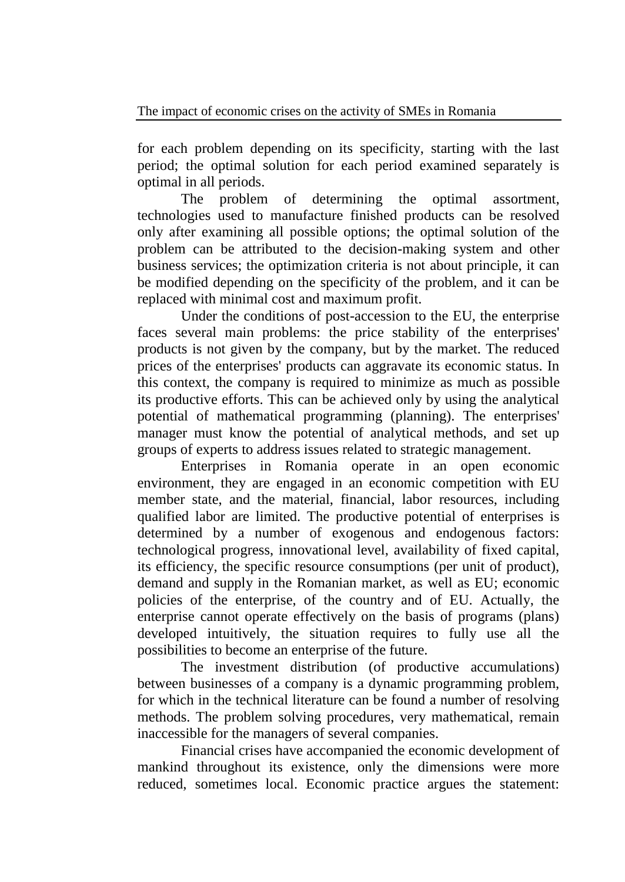for each problem depending on its specificity, starting with the last period; the optimal solution for each period examined separately is optimal in all periods.

The problem of determining the optimal assortment, technologies used to manufacture finished products can be resolved only after examining all possible options; the optimal solution of the problem can be attributed to the decision-making system and other business services; the optimization criteria is not about principle, it can be modified depending on the specificity of the problem, and it can be replaced with minimal cost and maximum profit.

Under the conditions of post-accession to the EU, the enterprise faces several main problems: the price stability of the enterprises' products is not given by the company, but by the market. The reduced prices of the enterprises' products can aggravate its economic status. In this context, the company is required to minimize as much as possible its productive efforts. This can be achieved only by using the analytical potential of mathematical programming (planning). The enterprises' manager must know the potential of analytical methods, and set up groups of experts to address issues related to strategic management.

Enterprises in Romania operate in an open economic environment, they are engaged in an economic competition with EU member state, and the material, financial, labor resources, including qualified labor are limited. The productive potential of enterprises is determined by a number of exogenous and endogenous factors: technological progress, innovational level, availability of fixed capital, its efficiency, the specific resource consumptions (per unit of product), demand and supply in the Romanian market, as well as EU; economic policies of the enterprise, of the country and of EU. Actually, the enterprise cannot operate effectively on the basis of programs (plans) developed intuitively, the situation requires to fully use all the possibilities to become an enterprise of the future.

The investment distribution (of productive accumulations) between businesses of a company is a dynamic programming problem, for which in the technical literature can be found a number of resolving methods. The problem solving procedures, very mathematical, remain inaccessible for the managers of several companies.

Financial crises have accompanied the economic development of mankind throughout its existence, only the dimensions were more reduced, sometimes local. Economic practice argues the statement: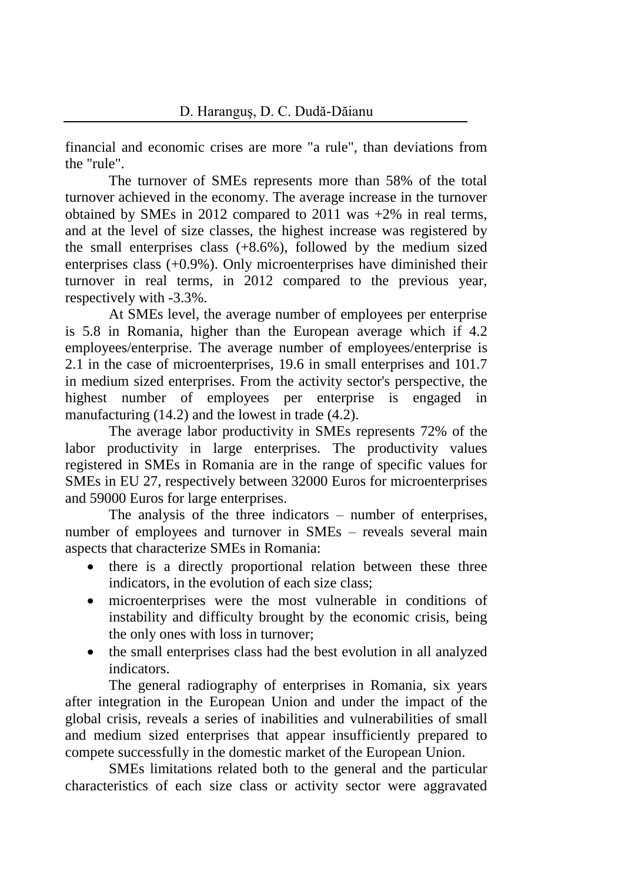financial and economic crises are more "a rule", than deviations from the "rule".

The turnover of SMEs represents more than 58% of the total turnover achieved in the economy. The average increase in the turnover obtained by SMEs in 2012 compared to 2011 was +2% in real terms, and at the level of size classes, the highest increase was registered by the small enterprises class  $(+8.6\%)$ , followed by the medium sized enterprises class (+0.9%). Only microenterprises have diminished their turnover in real terms, in 2012 compared to the previous year, respectively with -3.3%.

At SMEs level, the average number of employees per enterprise is 5.8 in Romania, higher than the European average which if 4.2 employees/enterprise. The average number of employees/enterprise is 2.1 in the case of microenterprises, 19.6 in small enterprises and 101.7 in medium sized enterprises. From the activity sector's perspective, the highest number of employees per enterprise is engaged in manufacturing (14.2) and the lowest in trade (4.2).

The average labor productivity in SMEs represents 72% of the labor productivity in large enterprises. The productivity values registered in SMEs in Romania are in the range of specific values for SMEs in EU 27, respectively between 32000 Euros for microenterprises and 59000 Euros for large enterprises.

The analysis of the three indicators – number of enterprises, number of employees and turnover in SMEs – reveals several main aspects that characterize SMEs in Romania:

- there is a directly proportional relation between these three indicators, in the evolution of each size class;
- microenterprises were the most vulnerable in conditions of instability and difficulty brought by the economic crisis, being the only ones with loss in turnover;
- the small enterprises class had the best evolution in all analyzed indicators.

The general radiography of enterprises in Romania, six years after integration in the European Union and under the impact of the global crisis, reveals a series of inabilities and vulnerabilities of small and medium sized enterprises that appear insufficiently prepared to compete successfully in the domestic market of the European Union.

SMEs limitations related both to the general and the particular characteristics of each size class or activity sector were aggravated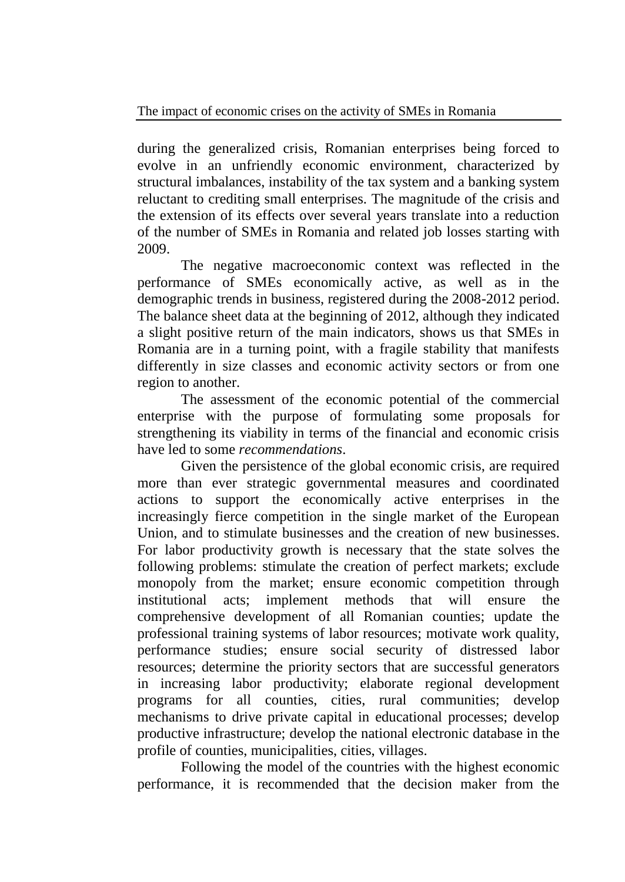during the generalized crisis, Romanian enterprises being forced to evolve in an unfriendly economic environment, characterized by structural imbalances, instability of the tax system and a banking system reluctant to crediting small enterprises. The magnitude of the crisis and the extension of its effects over several years translate into a reduction of the number of SMEs in Romania and related job losses starting with 2009.

The negative macroeconomic context was reflected in the performance of SMEs economically active, as well as in the demographic trends in business, registered during the 2008-2012 period. The balance sheet data at the beginning of 2012, although they indicated a slight positive return of the main indicators, shows us that SMEs in Romania are in a turning point, with a fragile stability that manifests differently in size classes and economic activity sectors or from one region to another.

The assessment of the economic potential of the commercial enterprise with the purpose of formulating some proposals for strengthening its viability in terms of the financial and economic crisis have led to some *recommendations*.

Given the persistence of the global economic crisis, are required more than ever strategic governmental measures and coordinated actions to support the economically active enterprises in the increasingly fierce competition in the single market of the European Union, and to stimulate businesses and the creation of new businesses. For labor productivity growth is necessary that the state solves the following problems: stimulate the creation of perfect markets; exclude monopoly from the market; ensure economic competition through institutional acts; implement methods that will ensure the comprehensive development of all Romanian counties; update the professional training systems of labor resources; motivate work quality, performance studies; ensure social security of distressed labor resources; determine the priority sectors that are successful generators in increasing labor productivity; elaborate regional development programs for all counties, cities, rural communities; develop mechanisms to drive private capital in educational processes; develop productive infrastructure; develop the national electronic database in the profile of counties, municipalities, cities, villages.

Following the model of the countries with the highest economic performance, it is recommended that the decision maker from the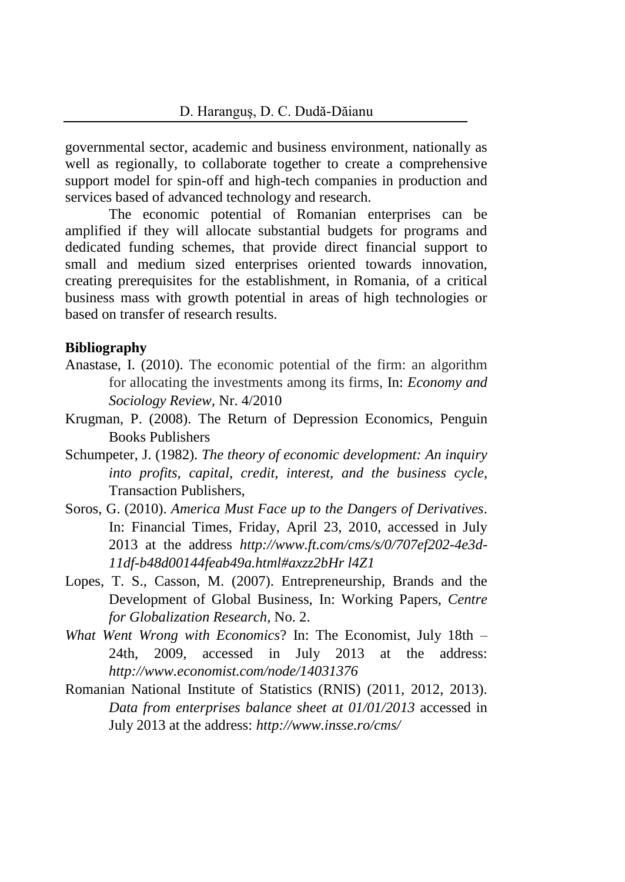governmental sector, academic and business environment, nationally as well as regionally, to collaborate together to create a comprehensive support model for spin-off and high-tech companies in production and services based of advanced technology and research.

The economic potential of Romanian enterprises can be amplified if they will allocate substantial budgets for programs and dedicated funding schemes, that provide direct financial support to small and medium sized enterprises oriented towards innovation, creating prerequisites for the establishment, in Romania, of a critical business mass with growth potential in areas of high technologies or based on transfer of research results.

#### **Bibliography**

- Anastase, I. (2010). The economic potential of the firm: an algorithm for allocating the investments among its firms*,* In: *Economy and Sociology Review,* Nr. 4/2010
- Krugman, P. (2008). The Return of Depression Economics, Penguin Books Publishers
- Schumpeter, J. (1982). *The theory of economic development: An inquiry into profits, capital, credit, interest, and the business cycle*, Transaction Publishers,
- Soros, G. (2010). *America Must Face up to the Dangers of Derivatives*. In: Financial Times, Friday, April 23, 2010, accessed in July 2013 at the address *[http://www.ft.com/cms/s/0/7](http://www.ft.com/cms/s/0/)07ef202-4e3d-11df-b48d00144feab49a.html#axzz2bHr l4Z1*
- Lopes, T. S., Casson, M. (2007). Entrepreneurship, Brands and the Development of Global Business, In: Working Papers, *Centre for Globalization Research,* No. 2.
- *What Went Wrong with Economics*? In: The Economist, July 18th 24th, 2009, accessed in July 2013 at the address: *http://www.economist.com/node/14031376*
- Romanian National Institute of Statistics (RNIS) (2011, 2012, 2013). *Data from enterprises balance sheet at 01/01/2013* accessed in July 2013 at the address: *http://www.insse.ro/cms/*